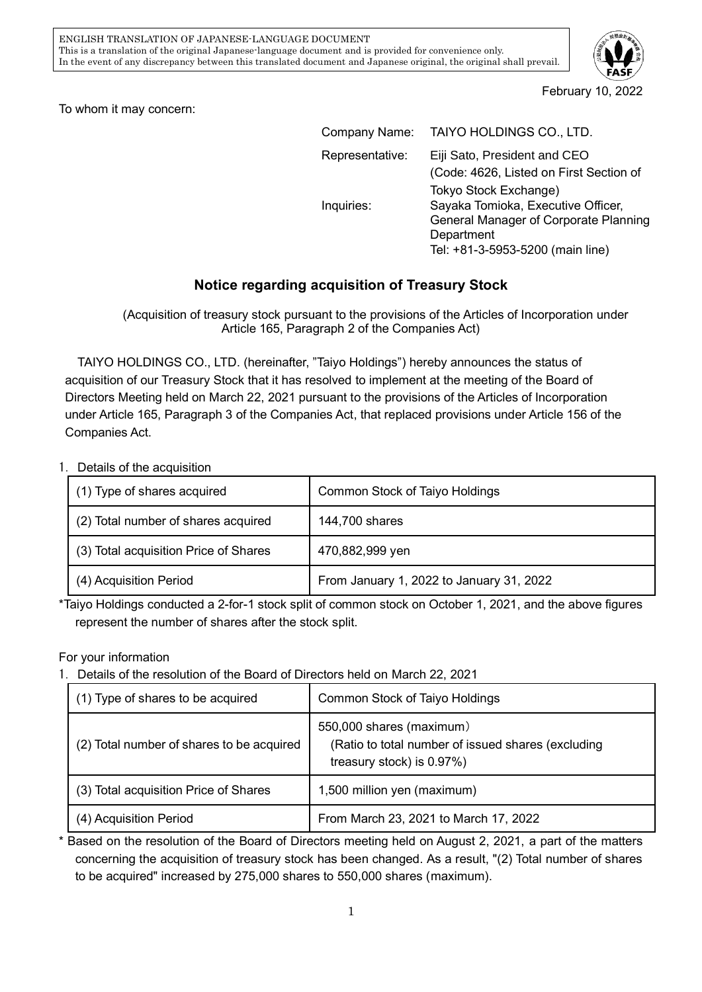

February 10, 2022

To whom it may concern:

| Company Name:   | TAIYO HOLDINGS CO., LTD.                |
|-----------------|-----------------------------------------|
| Representative: | Eiji Sato, President and CEO            |
|                 | (Code: 4626, Listed on First Section of |
|                 | Tokyo Stock Exchange)                   |
| Inquiries:      | Sayaka Tomioka, Executive Officer,      |
|                 | General Manager of Corporate Planning   |
|                 | Department                              |
|                 | Tel: +81-3-5953-5200 (main line)        |

## **Notice regarding acquisition of Treasury Stock**

(Acquisition of treasury stock pursuant to the provisions of the Articles of Incorporation under Article 165, Paragraph 2 of the Companies Act)

TAIYO HOLDINGS CO., LTD. (hereinafter, "Taiyo Holdings") hereby announces the status of acquisition of our Treasury Stock that it has resolved to implement at the meeting of the Board of Directors Meeting held on March 22, 2021 pursuant to the provisions of the Articles of Incorporation under Article 165, Paragraph 3 of the Companies Act, that replaced provisions under Article 156 of the Companies Act.

1.Details of the acquisition

| (1) Type of shares acquired           | Common Stock of Taiyo Holdings           |
|---------------------------------------|------------------------------------------|
| (2) Total number of shares acquired   | 144,700 shares                           |
| (3) Total acquisition Price of Shares | 470,882,999 yen                          |
| (4) Acquisition Period                | From January 1, 2022 to January 31, 2022 |

\*Taiyo Holdings conducted a 2-for-1 stock split of common stock on October 1, 2021, and the above figures represent the number of shares after the stock split.

For your information

1.Details of the resolution of the Board of Directors held on March 22, 2021

| (1) Type of shares to be acquired         | Common Stock of Taiyo Holdings                                                                              |
|-------------------------------------------|-------------------------------------------------------------------------------------------------------------|
| (2) Total number of shares to be acquired | 550,000 shares (maximum)<br>(Ratio to total number of issued shares (excluding<br>treasury stock) is 0.97%) |
| (3) Total acquisition Price of Shares     | 1,500 million yen (maximum)                                                                                 |
| (4) Acquisition Period                    | From March 23, 2021 to March 17, 2022                                                                       |

\* Based on the resolution of the Board of Directors meeting held on August 2, 2021, a part of the matters concerning the acquisition of treasury stock has been changed. As a result, "(2) Total number of shares to be acquired" increased by 275,000 shares to 550,000 shares (maximum).